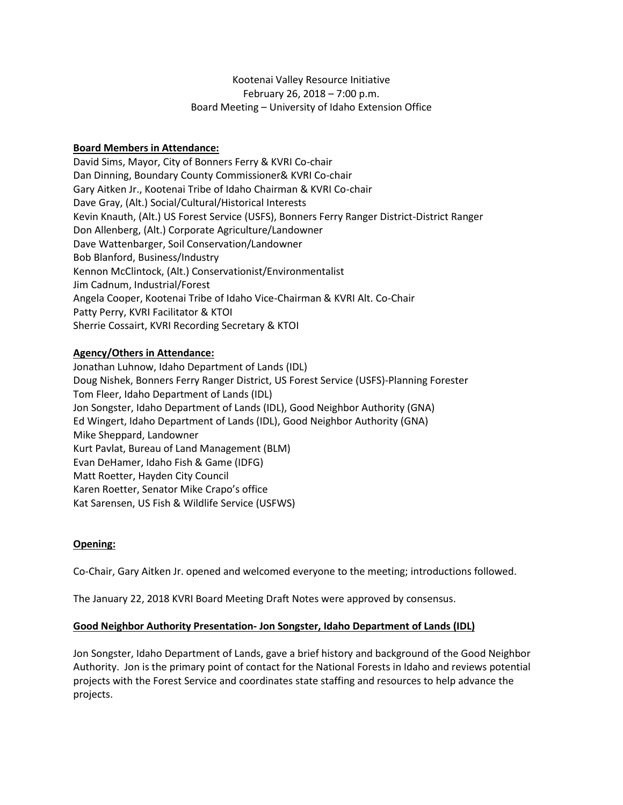# Kootenai Valley Resource Initiative February 26, 2018 – 7:00 p.m. Board Meeting – University of Idaho Extension Office

## **Board Members in Attendance:**

David Sims, Mayor, City of Bonners Ferry & KVRI Co-chair Dan Dinning, Boundary County Commissioner& KVRI Co-chair Gary Aitken Jr., Kootenai Tribe of Idaho Chairman & KVRI Co-chair Dave Gray, (Alt.) Social/Cultural/Historical Interests Kevin Knauth, (Alt.) US Forest Service (USFS), Bonners Ferry Ranger District-District Ranger Don Allenberg, (Alt.) Corporate Agriculture/Landowner Dave Wattenbarger, Soil Conservation/Landowner Bob Blanford, Business/Industry Kennon McClintock, (Alt.) Conservationist/Environmentalist Jim Cadnum, Industrial/Forest Angela Cooper, Kootenai Tribe of Idaho Vice-Chairman & KVRI Alt. Co-Chair Patty Perry, KVRI Facilitator & KTOI Sherrie Cossairt, KVRI Recording Secretary & KTOI

## **Agency/Others in Attendance:**

Jonathan Luhnow, Idaho Department of Lands (IDL) Doug Nishek, Bonners Ferry Ranger District, US Forest Service (USFS)-Planning Forester Tom Fleer, Idaho Department of Lands (IDL) Jon Songster, Idaho Department of Lands (IDL), Good Neighbor Authority (GNA) Ed Wingert, Idaho Department of Lands (IDL), Good Neighbor Authority (GNA) Mike Sheppard, Landowner Kurt Pavlat, Bureau of Land Management (BLM) Evan DeHamer, Idaho Fish & Game (IDFG) Matt Roetter, Hayden City Council Karen Roetter, Senator Mike Crapo's office Kat Sarensen, US Fish & Wildlife Service (USFWS)

# **Opening:**

Co-Chair, Gary Aitken Jr. opened and welcomed everyone to the meeting; introductions followed.

The January 22, 2018 KVRI Board Meeting Draft Notes were approved by consensus.

## **Good Neighbor Authority Presentation- Jon Songster, Idaho Department of Lands (IDL)**

Jon Songster, Idaho Department of Lands, gave a brief history and background of the Good Neighbor Authority. Jon is the primary point of contact for the National Forests in Idaho and reviews potential projects with the Forest Service and coordinates state staffing and resources to help advance the projects.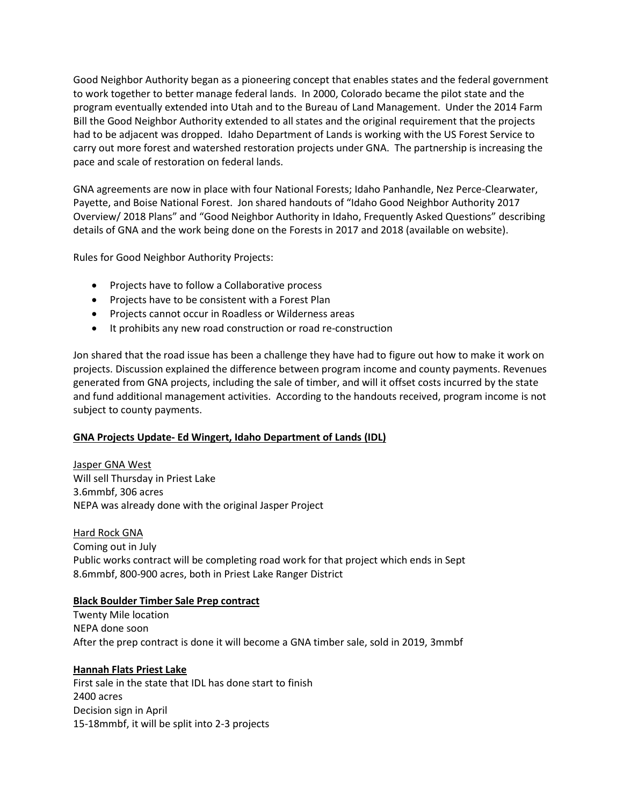Good Neighbor Authority began as a pioneering concept that enables states and the federal government to work together to better manage federal lands. In 2000, Colorado became the pilot state and the program eventually extended into Utah and to the Bureau of Land Management. Under the 2014 Farm Bill the Good Neighbor Authority extended to all states and the original requirement that the projects had to be adjacent was dropped. Idaho Department of Lands is working with the US Forest Service to carry out more forest and watershed restoration projects under GNA. The partnership is increasing the pace and scale of restoration on federal lands.

GNA agreements are now in place with four National Forests; Idaho Panhandle, Nez Perce-Clearwater, Payette, and Boise National Forest. Jon shared handouts of "Idaho Good Neighbor Authority 2017 Overview/ 2018 Plans" and "Good Neighbor Authority in Idaho, Frequently Asked Questions" describing details of GNA and the work being done on the Forests in 2017 and 2018 (available on website).

Rules for Good Neighbor Authority Projects:

- Projects have to follow a Collaborative process
- Projects have to be consistent with a Forest Plan
- Projects cannot occur in Roadless or Wilderness areas
- It prohibits any new road construction or road re-construction

Jon shared that the road issue has been a challenge they have had to figure out how to make it work on projects. Discussion explained the difference between program income and county payments. Revenues generated from GNA projects, including the sale of timber, and will it offset costs incurred by the state and fund additional management activities. According to the handouts received, program income is not subject to county payments.

# **GNA Projects Update- Ed Wingert, Idaho Department of Lands (IDL)**

Jasper GNA West Will sell Thursday in Priest Lake 3.6mmbf, 306 acres NEPA was already done with the original Jasper Project

Hard Rock GNA Coming out in July Public works contract will be completing road work for that project which ends in Sept 8.6mmbf, 800-900 acres, both in Priest Lake Ranger District

## **Black Boulder Timber Sale Prep contract**

Twenty Mile location NEPA done soon After the prep contract is done it will become a GNA timber sale, sold in 2019, 3mmbf

## **Hannah Flats Priest Lake**

First sale in the state that IDL has done start to finish 2400 acres Decision sign in April 15-18mmbf, it will be split into 2-3 projects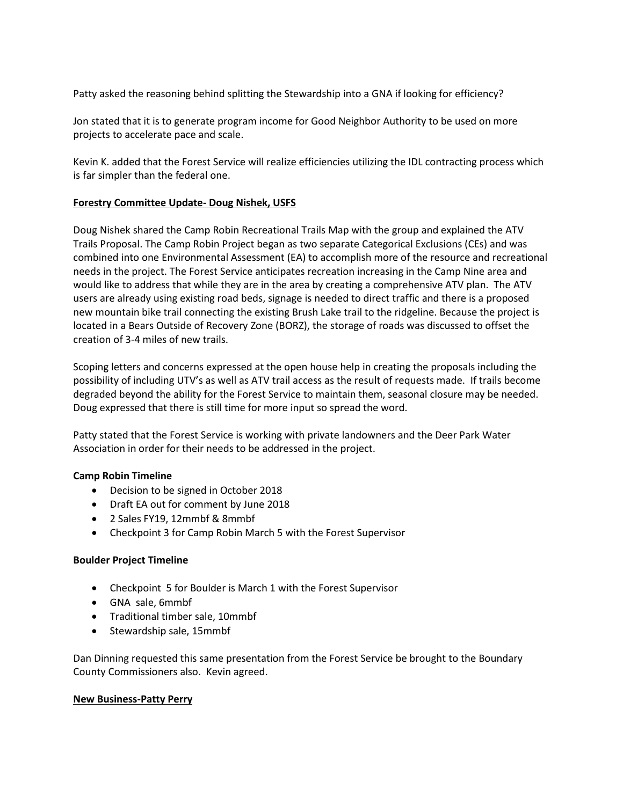Patty asked the reasoning behind splitting the Stewardship into a GNA if looking for efficiency?

Jon stated that it is to generate program income for Good Neighbor Authority to be used on more projects to accelerate pace and scale.

Kevin K. added that the Forest Service will realize efficiencies utilizing the IDL contracting process which is far simpler than the federal one.

### **Forestry Committee Update- Doug Nishek, USFS**

Doug Nishek shared the Camp Robin Recreational Trails Map with the group and explained the ATV Trails Proposal. The Camp Robin Project began as two separate Categorical Exclusions (CEs) and was combined into one Environmental Assessment (EA) to accomplish more of the resource and recreational needs in the project. The Forest Service anticipates recreation increasing in the Camp Nine area and would like to address that while they are in the area by creating a comprehensive ATV plan. The ATV users are already using existing road beds, signage is needed to direct traffic and there is a proposed new mountain bike trail connecting the existing Brush Lake trail to the ridgeline. Because the project is located in a Bears Outside of Recovery Zone (BORZ), the storage of roads was discussed to offset the creation of 3-4 miles of new trails.

Scoping letters and concerns expressed at the open house help in creating the proposals including the possibility of including UTV's as well as ATV trail access as the result of requests made. If trails become degraded beyond the ability for the Forest Service to maintain them, seasonal closure may be needed. Doug expressed that there is still time for more input so spread the word.

Patty stated that the Forest Service is working with private landowners and the Deer Park Water Association in order for their needs to be addressed in the project.

## **Camp Robin Timeline**

- Decision to be signed in October 2018
- Draft EA out for comment by June 2018
- 2 Sales FY19, 12mmbf & 8mmbf
- Checkpoint 3 for Camp Robin March 5 with the Forest Supervisor

## **Boulder Project Timeline**

- Checkpoint 5 for Boulder is March 1 with the Forest Supervisor
- GNA sale, 6mmbf
- Traditional timber sale, 10mmbf
- Stewardship sale, 15mmbf

Dan Dinning requested this same presentation from the Forest Service be brought to the Boundary County Commissioners also. Kevin agreed.

#### **New Business-Patty Perry**